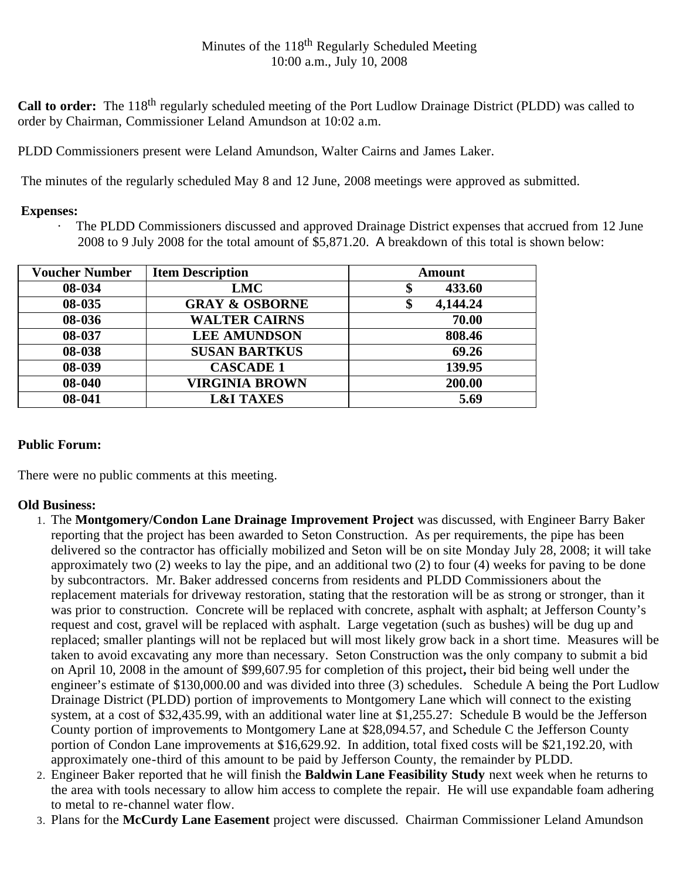**Call to order:** The 118<sup>th</sup> regularly scheduled meeting of the Port Ludlow Drainage District (PLDD) was called to order by Chairman, Commissioner Leland Amundson at 10:02 a.m.

PLDD Commissioners present were Leland Amundson, Walter Cairns and James Laker.

The minutes of the regularly scheduled May 8 and 12 June, 2008 meetings were approved as submitted.

## **Expenses:**

· The PLDD Commissioners discussed and approved Drainage District expenses that accrued from 12 June 2008 to 9 July 2008 for the total amount of \$5,871.20. A breakdown of this total is shown below:

| <b>Voucher Number</b> | <b>Item Description</b>   | Amount        |
|-----------------------|---------------------------|---------------|
| 08-034                | <b>LMC</b>                | 433.60<br>Φ   |
| 08-035                | <b>GRAY &amp; OSBORNE</b> | 4,144.24<br>Φ |
| 08-036                | <b>WALTER CAIRNS</b>      | 70.00         |
| 08-037                | <b>LEE AMUNDSON</b>       | 808.46        |
| 08-038                | <b>SUSAN BARTKUS</b>      | 69.26         |
| 08-039                | <b>CASCADE 1</b>          | 139.95        |
| 08-040                | <b>VIRGINIA BROWN</b>     | 200.00        |
| 08-041                | <b>L&amp;I TAXES</b>      | 5.69          |

## **Public Forum:**

There were no public comments at this meeting.

## **Old Business:**

- 1. The **Montgomery/Condon Lane Drainage Improvement Project** was discussed, with Engineer Barry Baker reporting that the project has been awarded to Seton Construction. As per requirements, the pipe has been delivered so the contractor has officially mobilized and Seton will be on site Monday July 28, 2008; it will take approximately two (2) weeks to lay the pipe, and an additional two (2) to four (4) weeks for paving to be done by subcontractors. Mr. Baker addressed concerns from residents and PLDD Commissioners about the replacement materials for driveway restoration, stating that the restoration will be as strong or stronger, than it was prior to construction. Concrete will be replaced with concrete, asphalt with asphalt; at Jefferson County's request and cost, gravel will be replaced with asphalt. Large vegetation (such as bushes) will be dug up and replaced; smaller plantings will not be replaced but will most likely grow back in a short time. Measures will be taken to avoid excavating any more than necessary. Seton Construction was the only company to submit a bid on April 10, 2008 in the amount of \$99,607.95 for completion of this project**,** their bid being well under the engineer's estimate of \$130,000.00 and was divided into three (3) schedules. Schedule A being the Port Ludlow Drainage District (PLDD) portion of improvements to Montgomery Lane which will connect to the existing system, at a cost of \$32,435.99, with an additional water line at \$1,255.27: Schedule B would be the Jefferson County portion of improvements to Montgomery Lane at \$28,094.57, and Schedule C the Jefferson County portion of Condon Lane improvements at \$16,629.92. In addition, total fixed costs will be \$21,192.20, with approximately one-third of this amount to be paid by Jefferson County, the remainder by PLDD.
- 2. Engineer Baker reported that he will finish the **Baldwin Lane Feasibility Study** next week when he returns to the area with tools necessary to allow him access to complete the repair. He will use expandable foam adhering to metal to re-channel water flow.
- 3. Plans for the **McCurdy Lane Easement** project were discussed. Chairman Commissioner Leland Amundson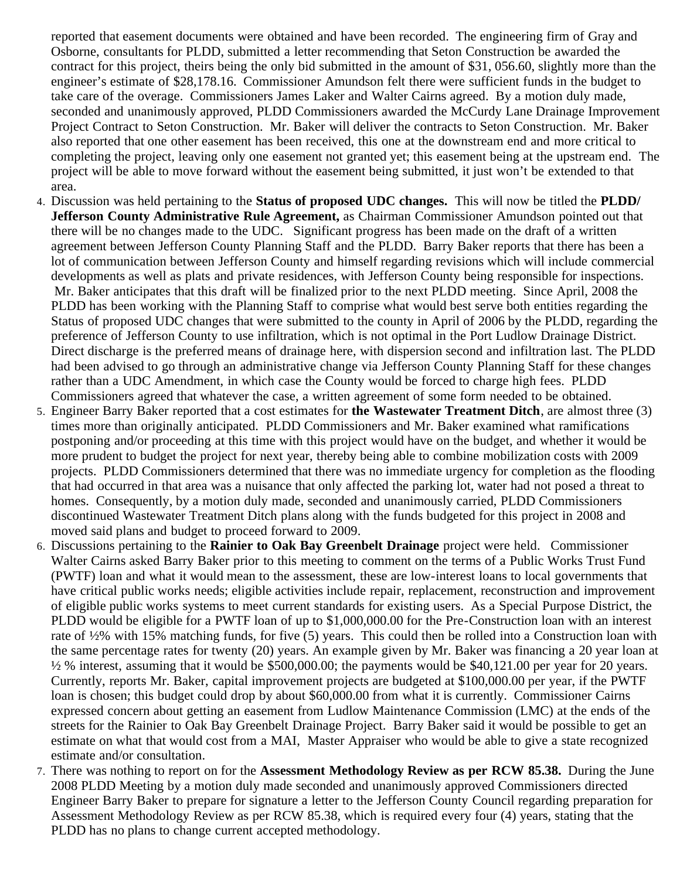reported that easement documents were obtained and have been recorded. The engineering firm of Gray and Osborne, consultants for PLDD, submitted a letter recommending that Seton Construction be awarded the contract for this project, theirs being the only bid submitted in the amount of \$31, 056.60, slightly more than the engineer's estimate of \$28,178.16. Commissioner Amundson felt there were sufficient funds in the budget to take care of the overage. Commissioners James Laker and Walter Cairns agreed. By a motion duly made, seconded and unanimously approved, PLDD Commissioners awarded the McCurdy Lane Drainage Improvement Project Contract to Seton Construction. Mr. Baker will deliver the contracts to Seton Construction. Mr. Baker also reported that one other easement has been received, this one at the downstream end and more critical to completing the project, leaving only one easement not granted yet; this easement being at the upstream end. The project will be able to move forward without the easement being submitted, it just won't be extended to that area.

- 4. Discussion was held pertaining to the **Status of proposed UDC changes.** This will now be titled the **PLDD/ Jefferson County Administrative Rule Agreement,** as Chairman Commissioner Amundson pointed out that there will be no changes made to the UDC. Significant progress has been made on the draft of a written agreement between Jefferson County Planning Staff and the PLDD. Barry Baker reports that there has been a lot of communication between Jefferson County and himself regarding revisions which will include commercial developments as well as plats and private residences, with Jefferson County being responsible for inspections. Mr. Baker anticipates that this draft will be finalized prior to the next PLDD meeting. Since April, 2008 the PLDD has been working with the Planning Staff to comprise what would best serve both entities regarding the Status of proposed UDC changes that were submitted to the county in April of 2006 by the PLDD, regarding the preference of Jefferson County to use infiltration, which is not optimal in the Port Ludlow Drainage District. Direct discharge is the preferred means of drainage here, with dispersion second and infiltration last. The PLDD had been advised to go through an administrative change via Jefferson County Planning Staff for these changes rather than a UDC Amendment, in which case the County would be forced to charge high fees. PLDD Commissioners agreed that whatever the case, a written agreement of some form needed to be obtained.
- 5. Engineer Barry Baker reported that a cost estimates for **the Wastewater Treatment Ditch**, are almost three (3) times more than originally anticipated. PLDD Commissioners and Mr. Baker examined what ramifications postponing and/or proceeding at this time with this project would have on the budget, and whether it would be more prudent to budget the project for next year, thereby being able to combine mobilization costs with 2009 projects. PLDD Commissioners determined that there was no immediate urgency for completion as the flooding that had occurred in that area was a nuisance that only affected the parking lot, water had not posed a threat to homes. Consequently, by a motion duly made, seconded and unanimously carried, PLDD Commissioners discontinued Wastewater Treatment Ditch plans along with the funds budgeted for this project in 2008 and moved said plans and budget to proceed forward to 2009.
- 6. Discussions pertaining to the **Rainier to Oak Bay Greenbelt Drainage** project were held. Commissioner Walter Cairns asked Barry Baker prior to this meeting to comment on the terms of a Public Works Trust Fund (PWTF) loan and what it would mean to the assessment, these are low-interest loans to local governments that have critical public works needs; eligible activities include repair, replacement, reconstruction and improvement of eligible public works systems to meet current standards for existing users. As a Special Purpose District, the PLDD would be eligible for a PWTF loan of up to \$1,000,000.00 for the Pre-Construction loan with an interest rate of ½% with 15% matching funds, for five (5) years. This could then be rolled into a Construction loan with the same percentage rates for twenty (20) years. An example given by Mr. Baker was financing a 20 year loan at  $\frac{1}{2}$  % interest, assuming that it would be \$500,000.00; the payments would be \$40,121.00 per year for 20 years. Currently, reports Mr. Baker, capital improvement projects are budgeted at \$100,000.00 per year, if the PWTF loan is chosen; this budget could drop by about \$60,000.00 from what it is currently. Commissioner Cairns expressed concern about getting an easement from Ludlow Maintenance Commission (LMC) at the ends of the streets for the Rainier to Oak Bay Greenbelt Drainage Project. Barry Baker said it would be possible to get an estimate on what that would cost from a MAI, Master Appraiser who would be able to give a state recognized estimate and/or consultation.
- 7. There was nothing to report on for the **Assessment Methodology Review as per RCW 85.38.** During the June 2008 PLDD Meeting by a motion duly made seconded and unanimously approved Commissioners directed Engineer Barry Baker to prepare for signature a letter to the Jefferson County Council regarding preparation for Assessment Methodology Review as per RCW 85.38, which is required every four (4) years, stating that the PLDD has no plans to change current accepted methodology.